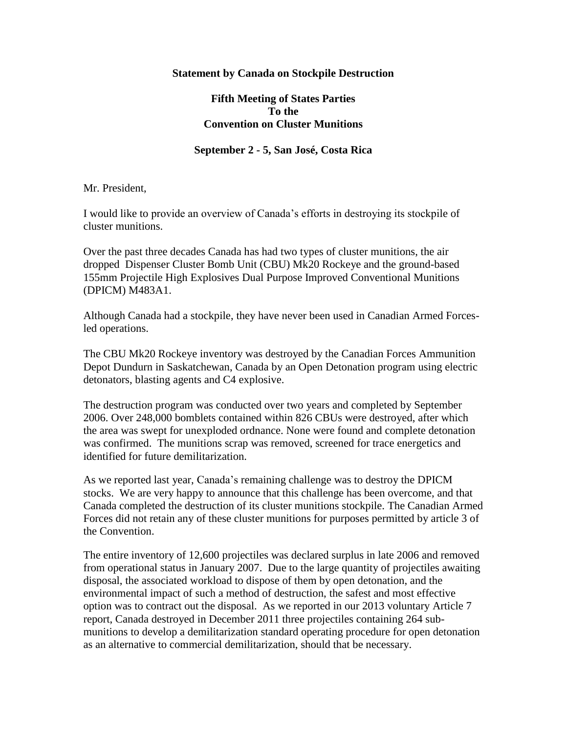## **Statement by Canada on Stockpile Destruction**

## **Fifth Meeting of States Parties To the Convention on Cluster Munitions**

## **September 2 - 5, San José, Costa Rica**

Mr. President,

I would like to provide an overview of Canada's efforts in destroying its stockpile of cluster munitions.

Over the past three decades Canada has had two types of cluster munitions, the air dropped Dispenser Cluster Bomb Unit (CBU) Mk20 Rockeye and the ground-based 155mm Projectile High Explosives Dual Purpose Improved Conventional Munitions (DPICM) M483A1.

Although Canada had a stockpile, they have never been used in Canadian Armed Forcesled operations.

The CBU Mk20 Rockeye inventory was destroyed by the Canadian Forces Ammunition Depot Dundurn in Saskatchewan, Canada by an Open Detonation program using electric detonators, blasting agents and C4 explosive.

The destruction program was conducted over two years and completed by September 2006. Over 248,000 bomblets contained within 826 CBUs were destroyed, after which the area was swept for unexploded ordnance. None were found and complete detonation was confirmed. The munitions scrap was removed, screened for trace energetics and identified for future demilitarization.

As we reported last year, Canada's remaining challenge was to destroy the DPICM stocks. We are very happy to announce that this challenge has been overcome, and that Canada completed the destruction of its cluster munitions stockpile. The Canadian Armed Forces did not retain any of these cluster munitions for purposes permitted by article 3 of the Convention.

The entire inventory of 12,600 projectiles was declared surplus in late 2006 and removed from operational status in January 2007. Due to the large quantity of projectiles awaiting disposal, the associated workload to dispose of them by open detonation, and the environmental impact of such a method of destruction, the safest and most effective option was to contract out the disposal. As we reported in our 2013 voluntary Article 7 report, Canada destroyed in December 2011 three projectiles containing 264 submunitions to develop a demilitarization standard operating procedure for open detonation as an alternative to commercial demilitarization, should that be necessary.